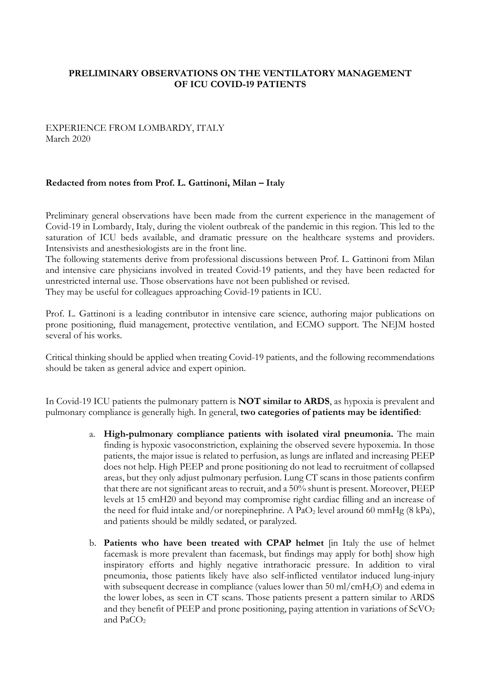# **PRELIMINARY OBSERVATIONS ON THE VENTILATORY MANAGEMENT OF ICU COVID-19 PATIENTS**

#### EXPERIENCE FROM LOMBARDY, ITALY March 2020

#### **Redacted from notes from Prof. L. Gattinoni, Milan – Italy**

Preliminary general observations have been made from the current experience in the management of Covid-19 in Lombardy, Italy, during the violent outbreak of the pandemic in this region. This led to the saturation of ICU beds available, and dramatic pressure on the healthcare systems and providers. Intensivists and anesthesiologists are in the front line.

The following statements derive from professional discussions between Prof. L. Gattinoni from Milan and intensive care physicians involved in treated Covid-19 patients, and they have been redacted for unrestricted internal use. Those observations have not been published or revised. They may be useful for colleagues approaching Covid-19 patients in ICU.

Prof. L. Gattinoni is a leading contributor in intensive care science, authoring major publications on prone positioning, fluid management, protective ventilation, and ECMO support. The NEJM hosted several of his works.

Critical thinking should be applied when treating Covid-19 patients, and the following recommendations should be taken as general advice and expert opinion.

In Covid-19 ICU patients the pulmonary pattern is **NOT similar to ARDS**, as hypoxia is prevalent and pulmonary compliance is generally high. In general, **two categories of patients may be identified**:

- a. **High-pulmonary compliance patients with isolated viral pneumonia.** The main finding is hypoxic vasoconstriction, explaining the observed severe hypoxemia. In those patients, the major issue is related to perfusion, as lungs are inflated and increasing PEEP does not help. High PEEP and prone positioning do not lead to recruitment of collapsed areas, but they only adjust pulmonary perfusion. Lung CT scans in those patients confirm that there are not significant areas to recruit, and a 50% shunt is present. Moreover, PEEP levels at 15 cmH20 and beyond may compromise right cardiac filling and an increase of the need for fluid intake and/or norepinephrine. A PaO<sub>2</sub> level around 60 mmHg (8 kPa), and patients should be mildly sedated, or paralyzed.
- b. **Patients who have been treated with CPAP helmet** [in Italy the use of helmet facemask is more prevalent than facemask, but findings may apply for both] show high inspiratory efforts and highly negative intrathoracic pressure. In addition to viral pneumonia, those patients likely have also self-inflicted ventilator induced lung-injury with subsequent decrease in compliance (values lower than 50 ml/cmH<sub>2</sub>O) and edema in the lower lobes, as seen in CT scans. Those patients present a pattern similar to ARDS and they benefit of PEEP and prone positioning, paying attention in variations of  $ScVO<sub>2</sub>$ and PaCO<sub>2</sub>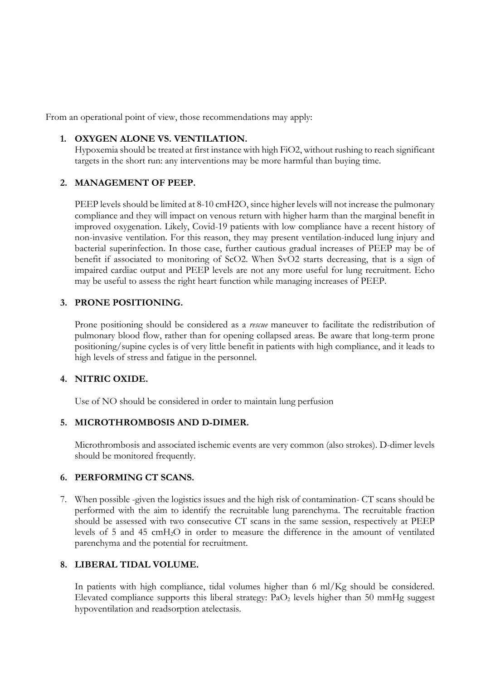From an operational point of view, those recommendations may apply:

### **1. OXYGEN ALONE VS. VENTILATION.**

Hypoxemia should be treated at first instance with high FiO2, without rushing to reach significant targets in the short run: any interventions may be more harmful than buying time.

### **2. MANAGEMENT OF PEEP.**

PEEP levels should be limited at 8-10 cmH2O, since higher levels will not increase the pulmonary compliance and they will impact on venous return with higher harm than the marginal benefit in improved oxygenation. Likely, Covid-19 patients with low compliance have a recent history of non-invasive ventilation. For this reason, they may present ventilation-induced lung injury and bacterial superinfection. In those case, further cautious gradual increases of PEEP may be of benefit if associated to monitoring of ScO2. When SvO2 starts decreasing, that is a sign of impaired cardiac output and PEEP levels are not any more useful for lung recruitment. Echo may be useful to assess the right heart function while managing increases of PEEP.

### **3. PRONE POSITIONING.**

Prone positioning should be considered as a *rescue* maneuver to facilitate the redistribution of pulmonary blood flow, rather than for opening collapsed areas. Be aware that long-term prone positioning/supine cycles is of very little benefit in patients with high compliance, and it leads to high levels of stress and fatigue in the personnel.

# **4. NITRIC OXIDE.**

Use of NO should be considered in order to maintain lung perfusion

### **5. MICROTHROMBOSIS AND D-DIMER.**

Microthrombosis and associated ischemic events are very common (also strokes). D-dimer levels should be monitored frequently.

### **6. PERFORMING CT SCANS.**

7. When possible -given the logistics issues and the high risk of contamination- CT scans should be performed with the aim to identify the recruitable lung parenchyma. The recruitable fraction should be assessed with two consecutive CT scans in the same session, respectively at PEEP levels of 5 and 45 cmH2O in order to measure the difference in the amount of ventilated parenchyma and the potential for recruitment.

# **8. LIBERAL TIDAL VOLUME.**

In patients with high compliance, tidal volumes higher than 6 ml/Kg should be considered. Elevated compliance supports this liberal strategy:  $PaO<sub>2</sub>$  levels higher than 50 mmHg suggest hypoventilation and readsorption atelectasis.